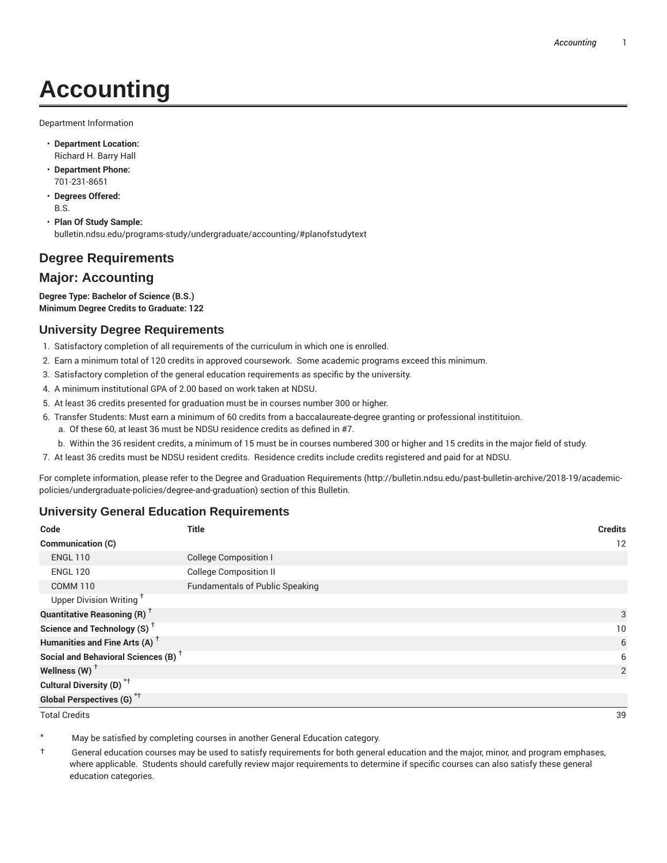# **Accounting**

Department Information

- **Department Location:** Richard H. Barry Hall
- **Department Phone:** 701-231-8651
- **Degrees Offered:** B.S.
- **Plan Of Study Sample:** bulletin.ndsu.edu/programs-study/undergraduate/accounting/#planofstudytext

## **Degree Requirements**

### **Major: Accounting**

**Degree Type: Bachelor of Science (B.S.) Minimum Degree Credits to Graduate: 122**

### **University Degree Requirements**

- 1. Satisfactory completion of all requirements of the curriculum in which one is enrolled.
- 2. Earn a minimum total of 120 credits in approved coursework. Some academic programs exceed this minimum.
- 3. Satisfactory completion of the general education requirements as specific by the university.
- 4. A minimum institutional GPA of 2.00 based on work taken at NDSU.
- 5. At least 36 credits presented for graduation must be in courses number 300 or higher.
- 6. Transfer Students: Must earn a minimum of 60 credits from a baccalaureate-degree granting or professional institituion.
	- a. Of these 60, at least 36 must be NDSU residence credits as defined in #7.
	- b. Within the 36 resident credits, a minimum of 15 must be in courses numbered 300 or higher and 15 credits in the major field of study.
- 7. At least 36 credits must be NDSU resident credits. Residence credits include credits registered and paid for at NDSU.

For complete information, please refer to the Degree and Graduation Requirements (http://bulletin.ndsu.edu/past-bulletin-archive/2018-19/academicpolicies/undergraduate-policies/degree-and-graduation) section of this Bulletin.

#### **University General Education Requirements**

| Code                                            | <b>Title</b>                           | <b>Credits</b> |
|-------------------------------------------------|----------------------------------------|----------------|
| Communication (C)                               |                                        | 12             |
| <b>ENGL 110</b>                                 | <b>College Composition I</b>           |                |
| <b>ENGL 120</b>                                 | <b>College Composition II</b>          |                |
| <b>COMM 110</b>                                 | <b>Fundamentals of Public Speaking</b> |                |
| Upper Division Writing <sup>+</sup>             |                                        |                |
| <b>Quantitative Reasoning (R)</b> <sup>†</sup>  |                                        | 3              |
| Science and Technology (S) <sup>+</sup>         |                                        | 10             |
| Humanities and Fine Arts (A) <sup>+</sup>       |                                        | 6              |
| Social and Behavioral Sciences (B) <sup>+</sup> |                                        | 6              |
| Wellness (W) $^{\dagger}$                       |                                        | $\overline{2}$ |
| Cultural Diversity (D) <sup>*†</sup>            |                                        |                |
| Global Perspectives (G) <sup>*†</sup>           |                                        |                |
| <b>Total Credits</b>                            |                                        | 39             |

May be satisfied by completing courses in another General Education category.

† General education courses may be used to satisfy requirements for both general education and the major, minor, and program emphases, where applicable. Students should carefully review major requirements to determine if specific courses can also satisfy these general education categories.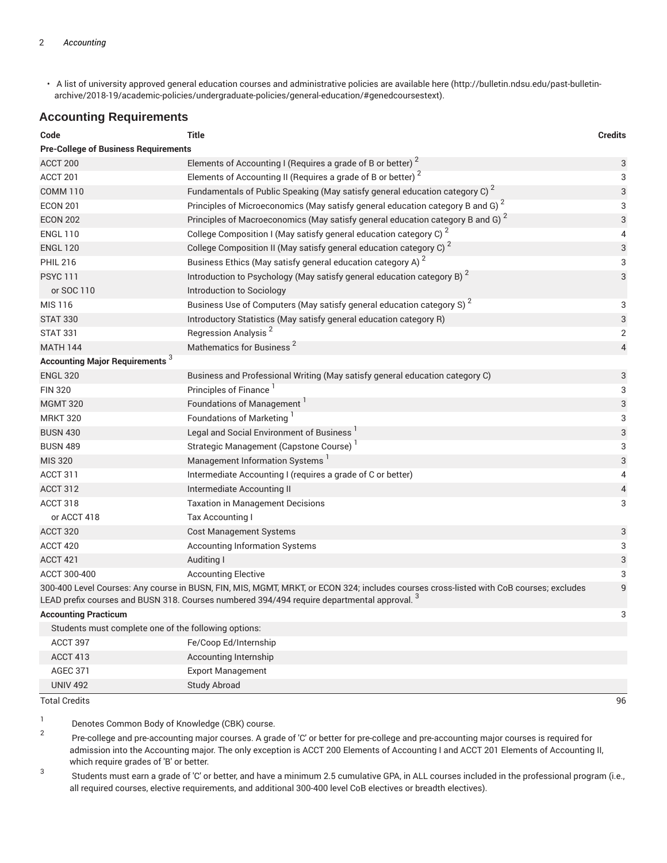• A list of university approved general education courses and administrative policies are available here (http://bulletin.ndsu.edu/past-bulletinarchive/2018-19/academic-policies/undergraduate-policies/general-education/#genedcoursestext).

#### **Accounting Requirements**

| Code                                                                                                                                                                                                                                                  | <b>Title</b>                                                                               | <b>Credits</b> |  |  |
|-------------------------------------------------------------------------------------------------------------------------------------------------------------------------------------------------------------------------------------------------------|--------------------------------------------------------------------------------------------|----------------|--|--|
| <b>Pre-College of Business Requirements</b>                                                                                                                                                                                                           |                                                                                            |                |  |  |
| ACCT 200                                                                                                                                                                                                                                              | Elements of Accounting I (Requires a grade of B or better) $^2$                            | 3              |  |  |
| ACCT 201                                                                                                                                                                                                                                              | Elements of Accounting II (Requires a grade of B or better) <sup>2</sup>                   | 3              |  |  |
| <b>COMM 110</b>                                                                                                                                                                                                                                       | Fundamentals of Public Speaking (May satisfy general education category C) <sup>2</sup>    | 3              |  |  |
| <b>ECON 201</b>                                                                                                                                                                                                                                       | Principles of Microeconomics (May satisfy general education category B and G) $^2$         | 3              |  |  |
| <b>ECON 202</b>                                                                                                                                                                                                                                       | Principles of Macroeconomics (May satisfy general education category B and G) <sup>2</sup> | 3              |  |  |
| <b>ENGL 110</b>                                                                                                                                                                                                                                       | College Composition I (May satisfy general education category C) <sup>2</sup>              | 4              |  |  |
| <b>ENGL 120</b>                                                                                                                                                                                                                                       | College Composition II (May satisfy general education category C) <sup>2</sup>             | 3              |  |  |
| <b>PHIL 216</b>                                                                                                                                                                                                                                       | Business Ethics (May satisfy general education category A) <sup>2</sup>                    | 3              |  |  |
| <b>PSYC 111</b>                                                                                                                                                                                                                                       | Introduction to Psychology (May satisfy general education category B) <sup>2</sup>         | 3              |  |  |
| or SOC 110                                                                                                                                                                                                                                            | Introduction to Sociology                                                                  |                |  |  |
| <b>MIS 116</b>                                                                                                                                                                                                                                        | Business Use of Computers (May satisfy general education category S) <sup>2</sup>          | 3              |  |  |
| <b>STAT 330</b>                                                                                                                                                                                                                                       | Introductory Statistics (May satisfy general education category R)                         | 3              |  |  |
| <b>STAT 331</b>                                                                                                                                                                                                                                       | Regression Analysis <sup>2</sup>                                                           | $\overline{2}$ |  |  |
| <b>MATH 144</b>                                                                                                                                                                                                                                       | Mathematics for Business <sup>2</sup>                                                      | 4              |  |  |
| <b>Accounting Major Requirements</b> <sup>3</sup>                                                                                                                                                                                                     |                                                                                            |                |  |  |
| <b>ENGL 320</b>                                                                                                                                                                                                                                       | Business and Professional Writing (May satisfy general education category C)               | 3              |  |  |
| <b>FIN 320</b>                                                                                                                                                                                                                                        | Principles of Finance <sup>1</sup>                                                         | 3              |  |  |
| <b>MGMT 320</b>                                                                                                                                                                                                                                       | Foundations of Management <sup>1</sup>                                                     | 3              |  |  |
| <b>MRKT 320</b>                                                                                                                                                                                                                                       | Foundations of Marketing <sup>1</sup>                                                      | 3              |  |  |
| <b>BUSN 430</b>                                                                                                                                                                                                                                       | Legal and Social Environment of Business <sup>1</sup>                                      | 3              |  |  |
| <b>BUSN 489</b>                                                                                                                                                                                                                                       | Strategic Management (Capstone Course)                                                     | 3              |  |  |
| <b>MIS 320</b>                                                                                                                                                                                                                                        | Management Information Systems <sup>1</sup>                                                | 3              |  |  |
| ACCT 311                                                                                                                                                                                                                                              | Intermediate Accounting I (requires a grade of C or better)                                | 4              |  |  |
| <b>ACCT 312</b>                                                                                                                                                                                                                                       | Intermediate Accounting II                                                                 | $\overline{4}$ |  |  |
| ACCT 318                                                                                                                                                                                                                                              | <b>Taxation in Management Decisions</b>                                                    | 3              |  |  |
| or ACCT 418                                                                                                                                                                                                                                           | Tax Accounting I                                                                           |                |  |  |
| ACCT 320                                                                                                                                                                                                                                              | <b>Cost Management Systems</b>                                                             | 3              |  |  |
| ACCT 420                                                                                                                                                                                                                                              | <b>Accounting Information Systems</b>                                                      | 3              |  |  |
| ACCT 421                                                                                                                                                                                                                                              | Auditing I                                                                                 | 3              |  |  |
| ACCT 300-400                                                                                                                                                                                                                                          | <b>Accounting Elective</b>                                                                 | 3              |  |  |
| 9<br>300-400 Level Courses: Any course in BUSN, FIN, MIS, MGMT, MRKT, or ECON 324; includes courses cross-listed with CoB courses; excludes<br>LEAD prefix courses and BUSN 318. Courses numbered 394/494 require departmental approval. <sup>3</sup> |                                                                                            |                |  |  |
| <b>Accounting Practicum</b>                                                                                                                                                                                                                           |                                                                                            | 3              |  |  |
| Students must complete one of the following options:                                                                                                                                                                                                  |                                                                                            |                |  |  |
| ACCT 397                                                                                                                                                                                                                                              | Fe/Coop Ed/Internship                                                                      |                |  |  |
| ACCT 413                                                                                                                                                                                                                                              | Accounting Internship                                                                      |                |  |  |
| <b>AGEC 371</b>                                                                                                                                                                                                                                       | <b>Export Management</b>                                                                   |                |  |  |

Total Credits 96

1 Denotes Common Body of Knowledge (CBK) course.

UNIV 492 Study Abroad

2 Pre-college and pre-accounting major courses. A grade of 'C' or better for pre-college and pre-accounting major courses is required for admission into the Accounting major. The only exception is ACCT 200 Elements of Accounting I and ACCT 201 Elements of Accounting II, which require grades of 'B' or better.

3 Students must earn a grade of 'C' or better, and have a minimum 2.5 cumulative GPA, in ALL courses included in the professional program (i.e., all required courses, elective requirements, and additional 300-400 level CoB electives or breadth electives).